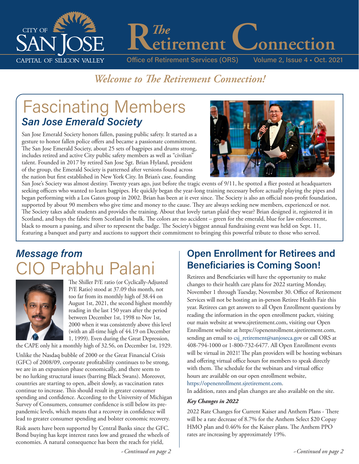

*The*<br>etirement Connection

Office of Retirement Services (ORS) Volume 2, Issue 4 • Oct. 2021

# *Welcome to The Retirement Connection!*

# Fascinating Members *San Jose Emerald Society*

San Jose Emerald Society honors fallen, passing public safety. It started as a gesture to honor fallen police offers and became a passionate commitment. The San Jose Emerald Society, about 25 sets of bagpipes and drums strong, includes retired and active City public safety members as well as "civilian" talent. Founded in 2017 by retired San Jose Sgt. Brian Hyland, president of the group, the Emerald Society is patterned after versions found across the nation but first established in New York City. In Brian's case, founding



San Jose's Society was almost destiny. Twenty years ago, just before the tragic events of 9/11, he spotted a flier posted at headquarters seeking officers who wanted to learn bagpipes. He quickly began the year-long training necessary before actually playing the pipes and began performing with a Los Gatos group in 2002. Brian has been at it ever since. The Society is also an official non-profit foundation, supported by about 90 members who give time and money to the cause. They are always seeking new members, experienced or not. The Society takes adult students and provides the training. About that lovely tartan plaid they wear? Brian designed it, registered it in Scotland, and buys the fabric from Scotland in bulk. The colors are no accident – green for the emerald, blue for law enforcement, black to mourn a passing, and silver to represent the badge. The Society's biggest annual fundraising event was held on Sept. 11, featuring a banquet and party and auctions to support their commitment to bringing this powerful tribute to those who served.

# *Message from*  Prab



The Shiller P/E ratio (or Cyclically-Adjusted P/E Ratio) stood at 37.09 this month, not too far from its monthly high of 38.44 on August 1st, 2021, the second highest monthly reading in the last 150 years after the period between December 1st, 1998 to Nov 1st, 2000 when it was consistently above this level (with an all-time high of 44.19 on December 1, 1999). Even during the Great Depression,

the CAPE only hit a monthly high of 32.56, on December 1st, 1929.

Unlike the Nasdaq bubble of 2000 or the Great Financial Crisis (GFC) of 2008/09, corporate profitability continues to be strong, we are in an expansion phase economically, and there seem to be no lurking structural issues (barring Black Swans). Moreover, countries are starting to open, albeit slowly, as vaccination rates continue to increase. This should result in greater consumer spending and confidence. According to the University of Michigan Survey of Consumers, consumer confidence is still below its prepandemic levels, which means that a recovery in confidence will lead to greater consumer spending and bolster economic recovery.

Risk assets have been supported by Central Banks since the GFC. Bond buying has kept interest rates low and greased the wheels of economies. A natural consequence has been the reach for yield,

# **Open Enrollment for Retirees and Beneficiaries is Coming Soon!**

Retirees and Beneficiaries will have the opportunity to make changes to their health care plans for 2022 starting Monday, November 1 through Tuesday, November 30. Office of Retirement Services will not be hosting an in-person Retiree Health Fair this year. Retirees can get answers to all Open Enrollment questions by reading the information in the open enrollment packet, visiting our main website at www.sjretirement.com, visiting our Open Enrollment website at https://openenrollment.sjretirement.com, sending an email to csj\_retirement@sanjoseca.gov or call ORS at 408-794-1000 or 1-800-732-6477. All Open Enrollment events will be virtual in 2021! The plan providers will be hosting webinars and offering virtual office hours for members to speak directly with them. The schedule for the webinars and virtual office hours are available on our open enrollment website, https://openenrollment.sjretirement.com.

In addition, rates and plan changes are also available on the site.

#### *Key Changes in 2022*

2022 Rate Changes for Current Kaiser and Anthem Plans - There will be a rate decrease of 8.7% for the Anthem Select \$20 Copay HMO plan and 0.46% for the Kaiser plans. The Anthem PPO rates are increasing by approximately 19%.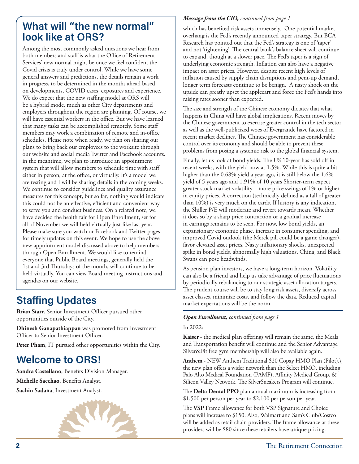# **What will "the new normal" look like at ORS?**

Among the most commonly asked questions we hear from both members and staff is what the Office of Retirement Services' new normal might be once we feel confident the Covid crisis is truly under control. While we have some general answers and predictions, the details remain a work in progress, to be determined in the months ahead based on developments, COVID cases, exposures and experience. We do expect that the new staffing model at ORS will be a hybrid mode, much as other City departments and employers throughout the region are planning. Of course, we will have essential workers in the office. But we have learned that many tasks can be accomplished remotely. Some staff members may work a combination of remote and in-office schedules. Please note when ready, we plan on sharing our plans to bring back our employees to the worksite through our website and social media Twitter and Facebook accounts. in the meantime, we plan to introduce an appointment system that will allow members to schedule time with staff either in person, at the office, or virtually. It's a model we are testing and I will be sharing details in the coming weeks. We continue to consider guidelines and quality assurance measures for this concept, but so far, nothing would indicate this could not be an effective, efficient and convenient way to serve you and conduct business. On a related note, we have decided the health fair for Open Enrollment, set for all of November we will held virtually just like last year. Please make sure you watch or Facebook and Twitter pages for timely updates on this event. We hope to use the above new appointment model discussed above to help members through Open Enrollment. We would like to remind everyone that Public Board meetings, generally held the 1st and 3rd Thursdays of the month, will continue to be held virtually. You can view Board meeting instructions and agendas on our website.

# **Staffing Updates**

**Brian Starr**, Senior Investment Officer pursued other opportunities outside of the City.

**Dhinesh Ganapathiappan** was promoted from Investment Officer to Senior Investment Officer.

Peter Pham, IT pursued other opportunities within the City.

# **Welcome to ORS!**

**Sandra Castellano**, Benefits Division Manager.

**Michelle Saechao**, Benefits Analyst.

**Sachin Sadana**, Investment Analyst.

*Message from the CIO, continued from page 1*

which has benefited risk assets immensely. One potential market overhang is the Fed's recently announced taper strategy. But BCA Research has pointed out that the Fed's strategy is one of 'taper' and not 'tightening'. The central bank's balance sheet will continue to expand, though at a slower pace. The Fed's taper is a sign of underlying economic strength. Inflation can also have a negative impact on asset prices. However, despite recent high levels of inflation caused by supply chain disruptions and pent-up demand, longer term forecasts continue to be benign. A nasty shock on the upside can greatly upset the applecart and force the Fed's hands into raising rates sooner than expected.

The size and strength of the Chinese economy dictates that what happens in China will have global implications. Recent moves by the Chinese government to exercise greater control in the tech sector as well as the well-publicized woes of Evergrande have factored in recent market declines. The Chinese government has considerable control over its economy and should be able to prevent these problems from posing a systemic risk to the global financial system.

Finally, let us look at bond yields. The US 10-year has sold off in recent weeks, with the yield now at 1.5%. While this is quite a bit higher than the 0.68% yield a year ago, it is still below the 1.6% yield of 5 years ago and 1.91% of 10 years Shorter-term expect greater stock market volatility – more price swings of 1% or higher in equity prices. A correction (technically defined as a fall of greater than 10%) is very much on the cards. If history is any indication, the Shiller P/E will moderate and revert towards mean. Whether it does so by a sharp price contraction or a gradual increase in earnings remains to be seen. For now, low bond yields, an expansionary economic phase, increase in consumer spending, and improved Covid outlook (the Merck pill could be a game changer), favor elevated asset prices. Nasty inflationary shocks, unexpected spike in bond yields, abnormally high valuations, China, and Black Swans can pose headwinds.

As pension plan investors, we have a long-term horizon. Volatility can also be a friend and help us take advantage of price fluctuations by periodically rebalancing to our strategic asset allocation targets. The prudent course will be to stay long risk assets, diversify across asset classes, minimize costs, and follow the data. Reduced capital market expectations will be the norm.

#### *Open Enrollment, continued from page 1*

#### In 2022:

**Kaiser** - the medical plan offerings will remain the same, the Meals and Transportation benefit will continue and the Senior Advantage Silver&Fit free gym membership will also be available again.

**Anthem** - NEW Anthem Traditional \$20 Copay HMO Plan (Pilot).\, the new plan offers a wider network than the Select HMO, including Palo Alto Medical Foundation (PAMF), Affinity Medical Group, & Silicon Valley Network. The SilverSneakers Program will continue.

The **Delta Dental PPO** plan annual maximum is increasing from \$1,500 per person per year to \$2,100 per person per year.

The **VSP** Frame allowance for both VSP Signature and Choice plans will increase to \$150. Also, Walmart and Sam's Club/Costco will be added as retail chain providers. The frame allowance at these providers will be \$80 since these retailers have unique pricing.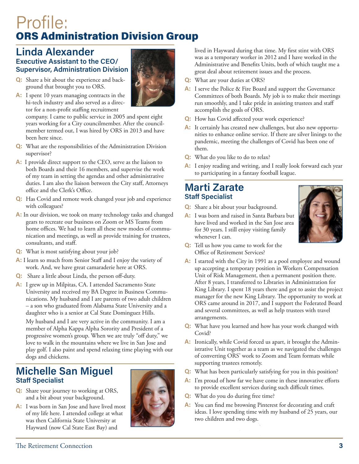# Profile: ORS Administration Division Group

### **Linda Alexander Executive Assistant to the CEO/ Supervisor, Administration Division**

**Q:** Share a bit about the experience and background that brought you to ORS.



company. I came to public service in 2005 and spent eight years working for a City councilmember. After the councilmember termed out, I was hired by ORS in 2013 and have been here since.

- **Q:** What are the responsibilities of the Administration Division supervisor?
- **A:** I provide direct support to the CEO, serve as the liaison to both Boards and their 16 members, and supervise the work of my team in setting the agendas and other administrative duties. I am also the liaison between the City staff, Attorneys office and the Clerk's Office.
- **Q:** Has Covid and remote work changed your job and experience with colleagues?
- **A:** In our division, we took on many technology tasks and changed gears to recreate our business on Zoom or MS Teams from home offices. We had to learn all these new modes of communication and meetings, as well as provide training for trustees, consultants, and staff.
- **Q:** What is most satisfying about your job?
- **A:** I learn so much from Senior Staff and I enjoy the variety of work. And, we have great camaraderie here at ORS.
- **Q:** Share a little about Linda, the person off-duty.
- **A:** I grew up in Milpitas, CA. I attended Sacramento State University and received my BA Degree in Business Communications. My husband and I are parents of two adult children – a son who graduated from Alabama State University and a daughter who is a senior at Cal State Dominguez Hills.

My husband and I are very active in the community. I am a member of Alpha Kappa Alpha Sorority and President of a progressive women's group. When we are truly "off duty," we love to walk in the mountains where we live in San Jose and play golf. I also paint and spend relaxing time playing with our dogs and chickens.

### **Michelle San Miguel Staff Specialist**

- **Q:** Share your journey to working at ORS, and a bit about your background.
- **A:** I was born in San Jose and have lived most of my life here. I attended college at what was then California State University at Hayward (now Cal State East Bay) and



lived in Hayward during that time. My first stint with ORS was as a temporary worker in 2012 and I have worked in the Administrative and Benefits Units, both of which taught me a great deal about retirement issues and the process.

- **Q:** What are your duties at ORS?
- **A:** I serve the Police & Fire Board and support the Governance Committees of both Boards. My job is to make their meetings run smoothly, and I take pride in assisting trustees and staff accomplish the goals of ORS.
- **Q:** How has Covid affected your work experience?
- **A:** It certainly has created new challenges, but also new opportunities to enhance online service. If there are silver linings to the pandemic, meeting the challenges of Covid has been one of them.
- **Q:** What do you like to do to relax?
- **A:** I enjoy reading and writing, and I really look forward each year to participating in a fantasy football league.

### **Marti Zarate Staff Specialist**

- **Q:** Share a bit about your background.
- **A:** I was born and raised in Santa Barbara but have lived and worked in the San Jose area for 30 years. I still enjoy visiting family whenever I can.



- **Q:** Tell us how you came to work for the Office of Retirement Services?
- **A:** I started with the City in 1991 as a pool employee and wound up accepting a temporary position in Workers Compensation Unit of Risk Management, then a permanent position there. After 8 years, I transferred to Libraries in Administration for King Library. I spent 18 years there and got to assist the project manager for the new King Library. The opportunity to work at ORS came around in 2017, and I support the Federated Board and several committees, as well as help trustees with travel arrangements.
- **Q:** What have you learned and how has your work changed with Covid?
- **A:** Ironically, while Covid forced us apart, it brought the Administrative Unit together as a team as we navigated the challenges of converting ORS' work to Zoom and Team formats while supporting trustees remotely.
- **Q:** What has been particularly satisfying for you in this position?
- **A:** I'm proud of how far we have come in these innovative efforts to provide excellent services during such difficult times.
- **Q:** What do you do during free time?
- **A:** You can find me browsing Pinterest for decorating and craft ideas. I love spending time with my husband of 25 years, our two children and two dogs.